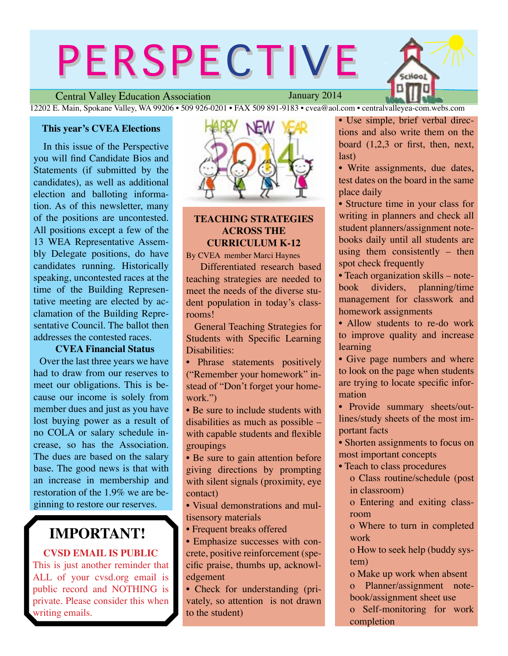# PERSPECTIVE

Hool

Central Valley Education Association

January 2014

12202 E. Main, Spokane Valley, WA 99206 • 509 926-0201 • FAX 509 891-9183 • cvea@aol.com • centralvalleyea-com.webs.com

## **This year's CVEA Elections**

In this issue of the Perspective you will find Candidate Bios and Statements (if submitted by the candidates), as well as additional election and balloting information. As of this newsletter, many of the positions are uncontested. All positions except a few of the 13 WEA Representative Assembly Delegate positions, do have candidates running. Historically speaking, uncontested races at the time of the Building Representative meeting are elected by acclamation of the Building Representative Council. The ballot then addresses the contested races.

# **CVEA Financial Status**

Over the last three years we have had to draw from our reserves to meet our obligations. This is because our income is solely from member dues and just as you have lost buying power as a result of no COLA or salary schedule increase, so has the Association. The dues are based on the salary base. The good news is that with an increase in membership and restoration of the 1.9% we are beginning to restore our reserves.

# **IMPORTANT!**

**CVSD EMAIL IS PUBLIC**

This is just another reminder that ALL of your cvsd.org email is public record and NOTHING is private. Please consider this when writing emails.



# **TEACHING STRATEGIES ACROSS THE CURRICULUM K-12**

By CVEA member Marci Haynes

 Differentiated research based teaching strategies are needed to meet the needs of the diverse student population in today's classrooms!

 General Teaching Strategies for Students with Specific Learning Disabilities:

• Phrase statements positively ("Remember your homework" instead of "Don't forget your homework.")

• Be sure to include students with disabilities as much as possible – with capable students and flexible groupings

• Be sure to gain attention before giving directions by prompting with silent signals (proximity, eye contact)

• Visual demonstrations and multisensory materials

• Frequent breaks offered

• Emphasize successes with concrete, positive reinforcement (specific praise, thumbs up, acknowledgement

• Check for understanding (privately, so attention is not drawn to the student)

• Use simple, brief verbal directions and also write them on the board (1,2,3 or first, then, next, last)

• Write assignments, due dates, test dates on the board in the same place daily

• Structure time in your class for writing in planners and check all student planners/assignment notebooks daily until all students are using them consistently – then spot check frequently

• Teach organization skills – notebook dividers, planning/time management for classwork and homework assignments

• Allow students to re-do work to improve quality and increase learning

• Give page numbers and where to look on the page when students are trying to locate specific information

• Provide summary sheets/outlines/study sheets of the most important facts

• Shorten assignments to focus on most important concepts

• Teach to class procedures o Class routine/schedule (post in classroom)

o Entering and exiting classroom

o Where to turn in completed work

o How to seek help (buddy system)

o Make up work when absent o Planner/assignment notebook/assignment sheet use

o Self-monitoring for work completion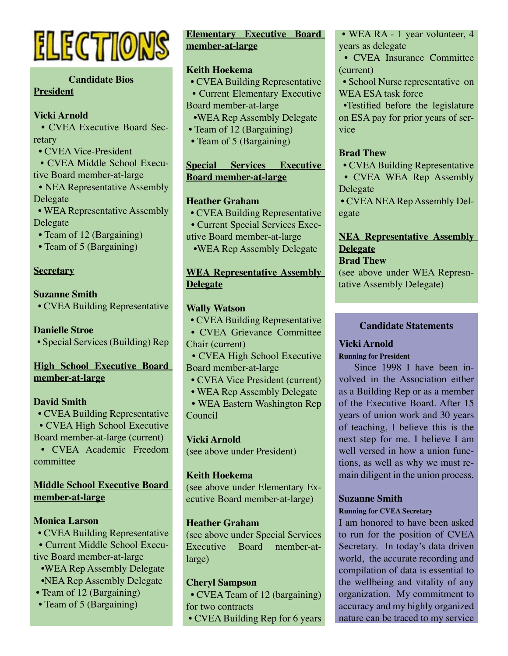

# **Candidate Bios President**

# **Vicki Arnold**

 • CVEA Executive Board Secretary

• CVEA Vice-President

 • CVEA Middle School Executive Board member-at-large

 • NEA Representative Assembly Delegate

 • WEA Representative Assembly Delegate

- Team of 12 (Bargaining)
- Team of 5 (Bargaining)

# **Secretary**

# **Suzanne Smith**

• CVEA Building Representative

# **Danielle Stroe**

• Special Services (Building) Rep

# **High School Executive Board member-at-large**

# **David Smith**

- CVEA Building Representative • CVEA High School Executive
- Board member-at-large (current)

 **•** CVEA Academic Freedom committee

# **Middle School Executive Board member-at-large**

# **Monica Larson**

 **•** CVEA Building Representative • Current Middle School Executive Board member-at-large •WEA Rep Assembly Delegate •NEA Rep Assembly Delegate

- Team of 12 (Bargaining)
- Team of 5 (Bargaining)

# **Elementary Executive Board member-at-large**

# **Keith Hoekema**

- CVEA Building Representative • Current Elementary Executive
- Board member-at-large
- •WEA Rep Assembly Delegate
- Team of 12 (Bargaining)
- Team of 5 (Bargaining)

# **Special Services Executive Board member-at-large**

# **Heather Graham**

- CVEA Building Representative
- Current Special Services Exec-
- utive Board member-at-large
- •WEA Rep Assembly Delegate

# **WEA Representative Assembly Delegate**

# **Wally Watson**

 **•** CVEA Building Representative

 • CVEA Grievance Committee Chair (current)

- CVEA High School Executive Board member-at-large
- CVEA Vice President (current)
- WEA Rep Assembly Delegate

 • WEA Eastern Washington Rep Council

# **Vicki Arnold**

(see above under President)

# **Keith Hoekema**

(see above under Elementary Executive Board member-at-large)

# **Heather Graham**

(see above under Special Services Executive Board member-atlarge)

# **Cheryl Sampson**

 **•** CVEA Team of 12 (bargaining) for two contracts

• CVEA Building Rep for 6 years

• WEA RA - 1 year volunteer, 4 years as delegate

• CVEA Insurance Committee (current)

 • School Nurse representative on WEA ESA task force

 •Testified before the legislature on ESA pay for prior years of service

# **Brad Thew**

 **•** CVEA Building Representative • CVEA WEA Rep Assembly Delegate

 • CVEA NEA Rep Assembly Delegate

# **NEA Representative Assembly Delegate**

# **Brad Thew**

(see above under WEA Represntative Assembly Delegate)

# **Candidate Statements**

# **Vicki Arnold**

**Running for President**

Since 1998 I have been involved in the Association either as a Building Rep or as a member of the Executive Board. After 15 years of union work and 30 years of teaching, I believe this is the next step for me. I believe I am well versed in how a union functions, as well as why we must remain diligent in the union process.

# **Suzanne Smith**

### **Running for CVEA Secretary**

I am honored to have been asked to run for the position of CVEA Secretary. In today's data driven world, the accurate recording and compilation of data is essential to the wellbeing and vitality of any organization. My commitment to accuracy and my highly organized nature can be traced to my service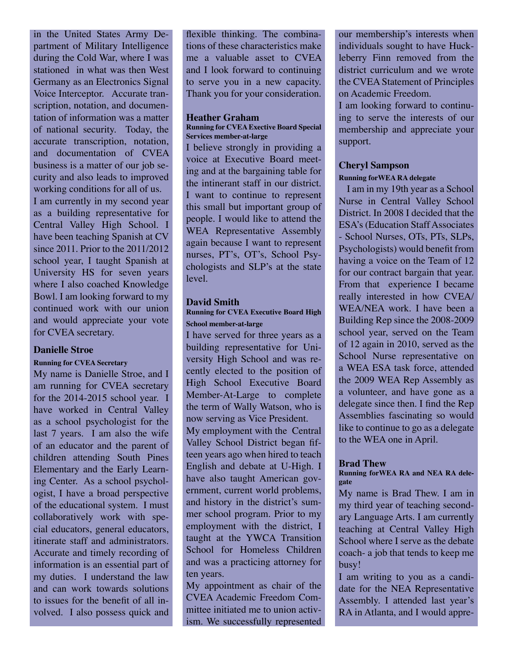in the United States Army Department of Military Intelligence during the Cold War, where I was stationed in what was then West Germany as an Electronics Signal Voice Interceptor. Accurate transcription, notation, and documentation of information was a matter of national security. Today, the accurate transcription, notation, and documentation of CVEA business is a matter of our job security and also leads to improved working conditions for all of us. I am currently in my second year as a building representative for Central Valley High School. I have been teaching Spanish at CV since 2011. Prior to the 2011/2012 school year, I taught Spanish at University HS for seven years where I also coached Knowledge Bowl. I am looking forward to my continued work with our union and would appreciate your vote for CVEA secretary.

### **Danielle Stroe**

### **Running for CVEA Secretary**

My name is Danielle Stroe, and I am running for CVEA secretary for the 2014-2015 school year. I have worked in Central Valley as a school psychologist for the last 7 years. I am also the wife of an educator and the parent of children attending South Pines Elementary and the Early Learning Center. As a school psychologist, I have a broad perspective of the educational system. I must collaboratively work with special educators, general educators, itinerate staff and administrators. Accurate and timely recording of information is an essential part of my duties. I understand the law and can work towards solutions to issues for the benefit of all involved. I also possess quick and flexible thinking. The combinations of these characteristics make me a valuable asset to CVEA and I look forward to continuing to serve you in a new capacity. Thank you for your consideration.

### **Heather Graham**

**Running for CVEA Exective Board Special Services member-at-large**

I believe strongly in providing a voice at Executive Board meeting and at the bargaining table for the intinerant staff in our district. I want to continue to represent this small but important group of people. I would like to attend the WEA Representative Assembly again because I want to represent nurses, PT's, OT's, School Psychologists and SLP's at the state level.

### **David Smith**

**Running for CVEA Executive Board High School member-at-large**

I have served for three years as a building representative for University High School and was recently elected to the position of High School Executive Board Member-At-Large to complete the term of Wally Watson, who is now serving as Vice President. My employment with the Central Valley School District began fifteen years ago when hired to teach English and debate at U-High. I have also taught American government, current world problems, and history in the district's summer school program. Prior to my employment with the district, I taught at the YWCA Transition

School for Homeless Children and was a practicing attorney for ten years.

My appointment as chair of the CVEA Academic Freedom Committee initiated me to union activism. We successfully represented our membership's interests when individuals sought to have Huckleberry Finn removed from the district curriculum and we wrote the CVEA Statement of Principles on Academic Freedom.

I am looking forward to continuing to serve the interests of our membership and appreciate your support.

### **Cheryl Sampson**

### **Running forWEA RA delegate**

 I am in my 19th year as a School Nurse in Central Valley School District. In 2008 I decided that the ESA's (Education Staff Associates - School Nurses, OTs, PTs, SLPs, Psychologists) would benefit from having a voice on the Team of 12 for our contract bargain that year. From that experience I became really interested in how CVEA/ WEA/NEA work. I have been a Building Rep since the 2008-2009 school year, served on the Team of 12 again in 2010, served as the School Nurse representative on a WEA ESA task force, attended the 2009 WEA Rep Assembly as a volunteer, and have gone as a delegate since then. I find the Rep Assemblies fascinating so would like to continue to go as a delegate to the WEA one in April.

### **Brad Thew**

### **Running forWEA RA and NEA RA delegate**

My name is Brad Thew. I am in my third year of teaching secondary Language Arts. I am currently teaching at Central Valley High School where I serve as the debate coach- a job that tends to keep me busy!

I am writing to you as a candidate for the NEA Representative Assembly. I attended last year's RA in Atlanta, and I would appre